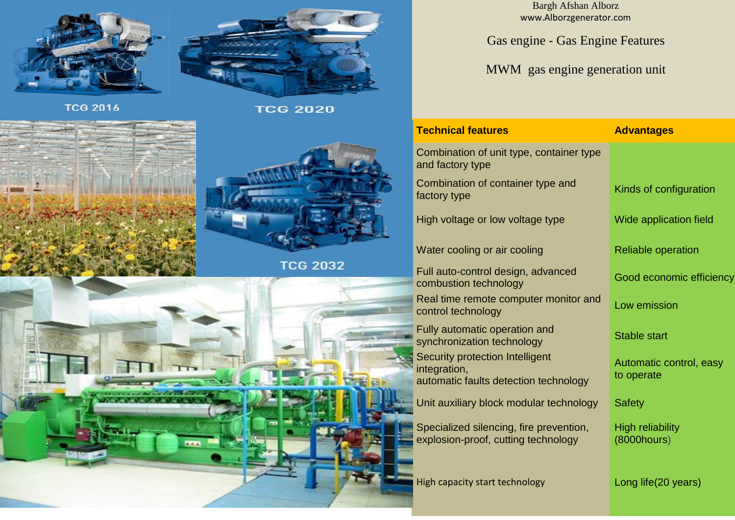



**TCG 2016** 

**TCG 2020** 



**ALA** 

Bargh Afshan Alborz www.Alborzgenerator.com

Gas engine - Gas Engine Features

MWM gas engine generation unit

| <b>Technical features</b>                                                                | <b>Advantages</b>                            |  |  |
|------------------------------------------------------------------------------------------|----------------------------------------------|--|--|
| Combination of unit type, container type<br>and factory type                             |                                              |  |  |
| Combination of container type and<br>factory type                                        | Kinds of configuration                       |  |  |
| High voltage or low voltage type                                                         | Wide application field                       |  |  |
| Water cooling or air cooling                                                             | <b>Reliable operation</b>                    |  |  |
| Full auto-control design, advanced<br>combustion technology                              | Good economic efficiency                     |  |  |
| Real time remote computer monitor and<br>control technology                              | Low emission                                 |  |  |
| Fully automatic operation and<br>synchronization technology                              | <b>Stable start</b>                          |  |  |
| Security protection Intelligent<br>integration,<br>automatic faults detection technology | Automatic control, easy<br>to operate        |  |  |
| Unit auxiliary block modular technology                                                  | <b>Safety</b>                                |  |  |
| Specialized silencing, fire prevention,<br>explosion-proof, cutting technology           | <b>High reliability</b><br>$(8000$ hours $)$ |  |  |
| High capacity start technology                                                           | Long life(20 years)                          |  |  |